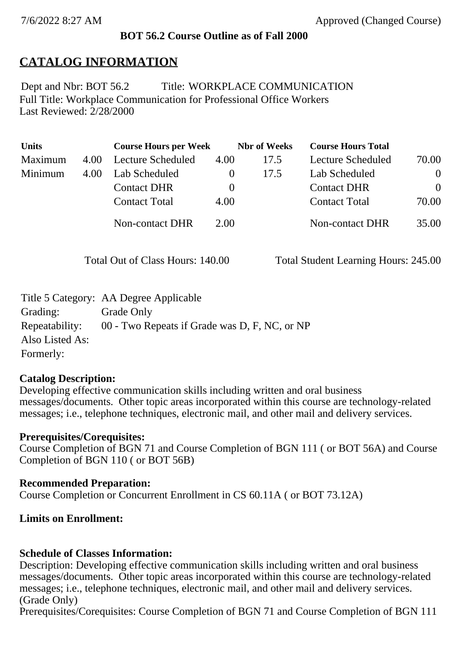# **BOT 56.2 Course Outline as of Fall 2000**

# **CATALOG INFORMATION**

Full Title: Workplace Communication for Professional Office Workers Last Reviewed: 2/28/2000 Dept and Nbr: BOT 56.2 Title: WORKPLACE COMMUNICATION

| <b>Units</b> |      | <b>Course Hours per Week</b> |          | <b>Nbr</b> of Weeks | <b>Course Hours Total</b> |          |
|--------------|------|------------------------------|----------|---------------------|---------------------------|----------|
| Maximum      | 4.00 | Lecture Scheduled            | 4.00     | 17.5                | Lecture Scheduled         | 70.00    |
| Minimum      | 4.00 | Lab Scheduled                | $\theta$ | 17.5                | Lab Scheduled             | $\theta$ |
|              |      | <b>Contact DHR</b>           | $\theta$ |                     | <b>Contact DHR</b>        | $\Omega$ |
|              |      | <b>Contact Total</b>         | 4.00     |                     | <b>Contact Total</b>      | 70.00    |
|              |      | <b>Non-contact DHR</b>       | 2.00     |                     | Non-contact DHR           | 35.00    |

Total Out of Class Hours: 140.00 Total Student Learning Hours: 245.00

|                 | Title 5 Category: AA Degree Applicable        |
|-----------------|-----------------------------------------------|
| Grading:        | Grade Only                                    |
| Repeatability:  | 00 - Two Repeats if Grade was D, F, NC, or NP |
| Also Listed As: |                                               |
| Formerly:       |                                               |

# **Catalog Description:**

Developing effective communication skills including written and oral business messages/documents. Other topic areas incorporated within this course are technology-related messages; i.e., telephone techniques, electronic mail, and other mail and delivery services.

# **Prerequisites/Corequisites:**

Course Completion of BGN 71 and Course Completion of BGN 111 ( or BOT 56A) and Course Completion of BGN 110 ( or BOT 56B)

# **Recommended Preparation:**

Course Completion or Concurrent Enrollment in CS 60.11A ( or BOT 73.12A)

# **Limits on Enrollment:**

# **Schedule of Classes Information:**

Description: Developing effective communication skills including written and oral business messages/documents. Other topic areas incorporated within this course are technology-related messages; i.e., telephone techniques, electronic mail, and other mail and delivery services. (Grade Only)

Prerequisites/Corequisites: Course Completion of BGN 71 and Course Completion of BGN 111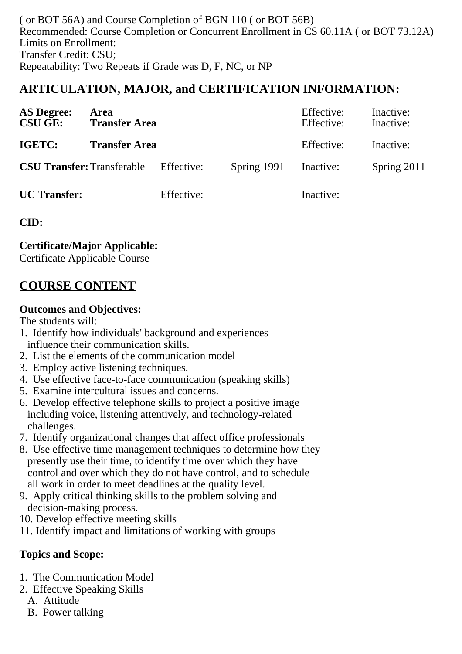( or BOT 56A) and Course Completion of BGN 110 ( or BOT 56B) Recommended: Course Completion or Concurrent Enrollment in CS 60.11A ( or BOT 73.12A) Limits on Enrollment: Transfer Credit: CSU; Repeatability: Two Repeats if Grade was D, F, NC, or NP

# **ARTICULATION, MAJOR, and CERTIFICATION INFORMATION:**

| <b>AS Degree:</b><br><b>CSU GE:</b> | Area<br><b>Transfer Area</b>                 |            |             | Effective:<br>Effective: | Inactive:<br>Inactive: |
|-------------------------------------|----------------------------------------------|------------|-------------|--------------------------|------------------------|
| IGETC:                              | <b>Transfer Area</b>                         |            |             | Effective:               | Inactive:              |
|                                     | <b>CSU Transfer:</b> Transferable Effective: |            | Spring 1991 | Inactive:                | Spring 2011            |
| <b>UC</b> Transfer:                 |                                              | Effective: |             | Inactive:                |                        |

**CID:**

**Certificate/Major Applicable:** 

[Certificate Applicable Course](SR_ClassCheck.aspx?CourseKey=BOT56.2)

# **COURSE CONTENT**

#### **Outcomes and Objectives:**

The students will:

- 1. Identify how individuals' background and experiences influence their communication skills.
- 2. List the elements of the communication model
- 3. Employ active listening techniques.
- 4. Use effective face-to-face communication (speaking skills)
- 5. Examine intercultural issues and concerns.
- 6. Develop effective telephone skills to project a positive image including voice, listening attentively, and technology-related challenges.
- 7. Identify organizational changes that affect office professionals
- 8. Use effective time management techniques to determine how they presently use their time, to identify time over which they have control and over which they do not have control, and to schedule all work in order to meet deadlines at the quality level.
- 9. Apply critical thinking skills to the problem solving and decision-making process.
- 10. Develop effective meeting skills
- 11. Identify impact and limitations of working with groups

# **Topics and Scope:**

- 1. The Communication Model
- 2. Effective Speaking Skills
	- A. Attitude
	- B. Power talking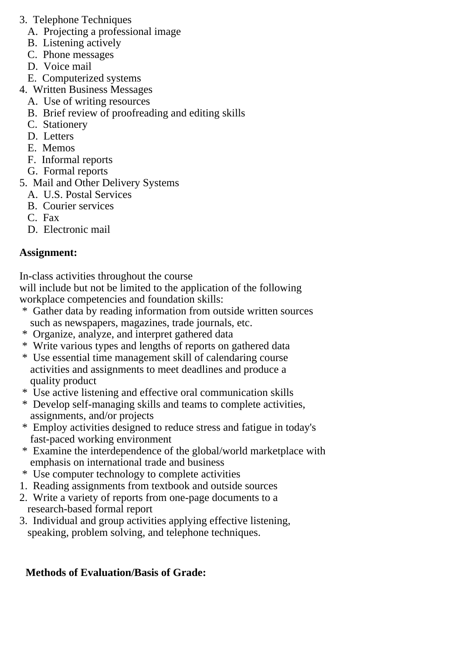- 3. Telephone Techniques
	- A. Projecting a professional image
	- B. Listening actively
	- C. Phone messages
	- D. Voice mail
	- E. Computerized systems
- 4. Written Business Messages
	- A. Use of writing resources
	- B. Brief review of proofreading and editing skills
	- C. Stationery
	- D. Letters
	- E. Memos
	- F. Informal reports
	- G. Formal reports
- 5. Mail and Other Delivery Systems
	- A. U.S. Postal Services
	- B. Courier services
	- C. Fax
	- D. Electronic mail

# **Assignment:**

In-class activities throughout the course

will include but not be limited to the application of the following workplace competencies and foundation skills:

- \* Gather data by reading information from outside written sources such as newspapers, magazines, trade journals, etc.
- \* Organize, analyze, and interpret gathered data
- \* Write various types and lengths of reports on gathered data
- \* Use essential time management skill of calendaring course activities and assignments to meet deadlines and produce a quality product
- \* Use active listening and effective oral communication skills
- \* Develop self-managing skills and teams to complete activities, assignments, and/or projects
- \* Employ activities designed to reduce stress and fatigue in today's fast-paced working environment
- \* Examine the interdependence of the global/world marketplace with emphasis on international trade and business
- \* Use computer technology to complete activities
- 1. Reading assignments from textbook and outside sources
- 2. Write a variety of reports from one-page documents to a research-based formal report
- 3. Individual and group activities applying effective listening, speaking, problem solving, and telephone techniques.

# **Methods of Evaluation/Basis of Grade:**